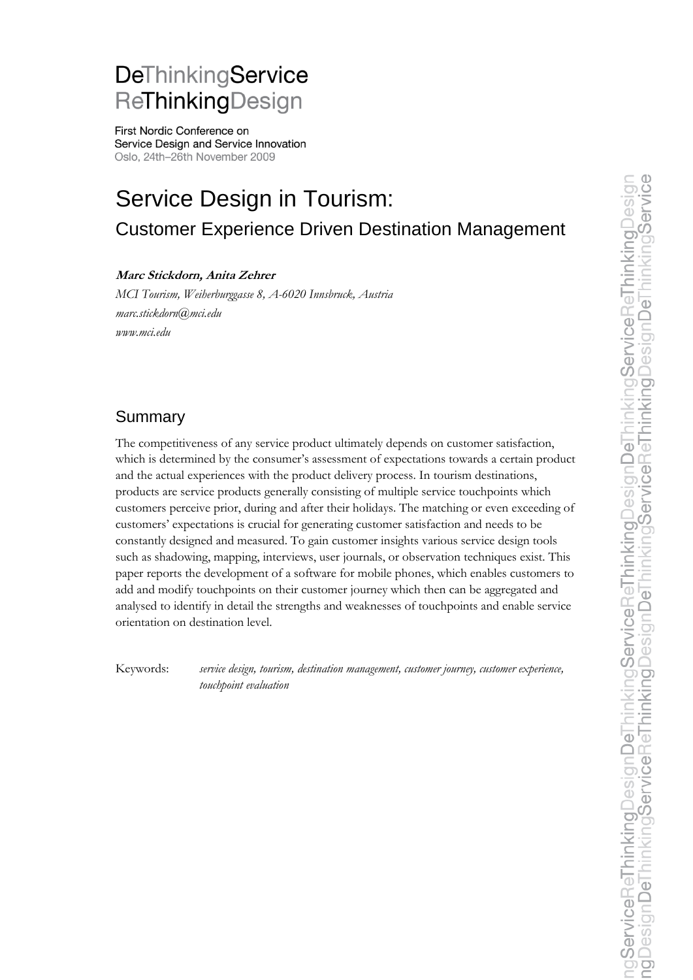# DeThinkingService ReThinkingDesign

First Nordic Conference on Service Design and Service Innovation Oslo, 24th-26th November 2009

# Service Design in Tourism: Customer Experience Driven Destination Management

#### **Marc Stickdorn, Anita Zehrer**

*MCI Tourism, Weiherburggasse 8, A-6020 Innsbruck, Austria marc.stickdorn@mci.edu www.mci.edu*

# Summary

The competitiveness of any service product ultimately depends on customer satisfaction, which is determined by the consumer's assessment of expectations towards a certain product and the actual experiences with the product delivery process. In tourism destinations, products are service products generally consisting of multiple service touchpoints which customers perceive prior, during and after their holidays. The matching or even exceeding of customers" expectations is crucial for generating customer satisfaction and needs to be constantly designed and measured. To gain customer insights various service design tools such as shadowing, mapping, interviews, user journals, or observation techniques exist. This paper reports the development of a software for mobile phones, which enables customers to add and modify touchpoints on their customer journey which then can be aggregated and analysed to identify in detail the strengths and weaknesses of touchpoints and enable service orientation on destination level.

Keywords: *service design, tourism, destination management, customer journey, customer experience, touchpoint evaluation*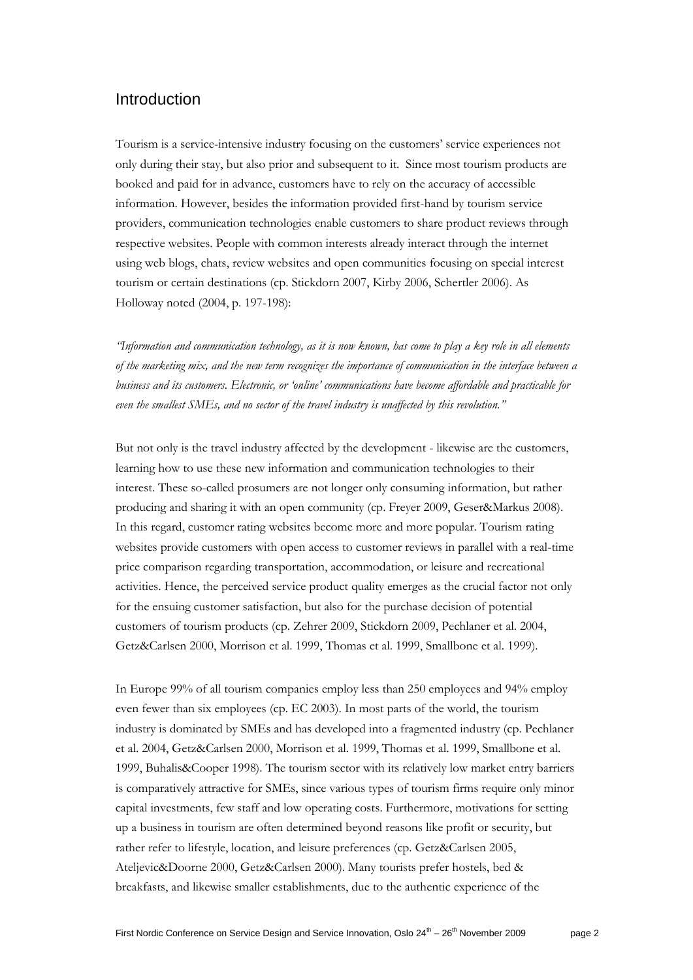### Introduction

Tourism is a service-intensive industry focusing on the customers" service experiences not only during their stay, but also prior and subsequent to it. Since most tourism products are booked and paid for in advance, customers have to rely on the accuracy of accessible information. However, besides the information provided first-hand by tourism service providers, communication technologies enable customers to share product reviews through respective websites. People with common interests already interact through the internet using web blogs, chats, review websites and open communities focusing on special interest tourism or certain destinations (cp. Stickdorn 2007, Kirby 2006, Schertler 2006). As Holloway noted (2004, p. 197-198):

*"Information and communication technology, as it is now known, has come to play a key role in all elements of the marketing mix, and the new term recognizes the importance of communication in the interface between a business and its customers. Electronic, or "online" communications have become affordable and practicable for even the smallest SMEs, and no sector of the travel industry is unaffected by this revolution."*

But not only is the travel industry affected by the development - likewise are the customers, learning how to use these new information and communication technologies to their interest. These so-called prosumers are not longer only consuming information, but rather producing and sharing it with an open community (cp. Freyer 2009, Geser&Markus 2008). In this regard, customer rating websites become more and more popular. Tourism rating websites provide customers with open access to customer reviews in parallel with a real-time price comparison regarding transportation, accommodation, or leisure and recreational activities. Hence, the perceived service product quality emerges as the crucial factor not only for the ensuing customer satisfaction, but also for the purchase decision of potential customers of tourism products (cp. Zehrer 2009, Stickdorn 2009, Pechlaner et al. 2004, Getz&Carlsen 2000, Morrison et al. 1999, Thomas et al. 1999, Smallbone et al. 1999).

In Europe 99% of all tourism companies employ less than 250 employees and 94% employ even fewer than six employees (cp. EC 2003). In most parts of the world, the tourism industry is dominated by SMEs and has developed into a fragmented industry (cp. Pechlaner et al. 2004, Getz&Carlsen 2000, Morrison et al. 1999, Thomas et al. 1999, Smallbone et al. 1999, Buhalis&Cooper 1998). The tourism sector with its relatively low market entry barriers is comparatively attractive for SMEs, since various types of tourism firms require only minor capital investments, few staff and low operating costs. Furthermore, motivations for setting up a business in tourism are often determined beyond reasons like profit or security, but rather refer to lifestyle, location, and leisure preferences (cp. Getz&Carlsen 2005, Ateljevic&Doorne 2000, Getz&Carlsen 2000). Many tourists prefer hostels, bed & breakfasts, and likewise smaller establishments, due to the authentic experience of the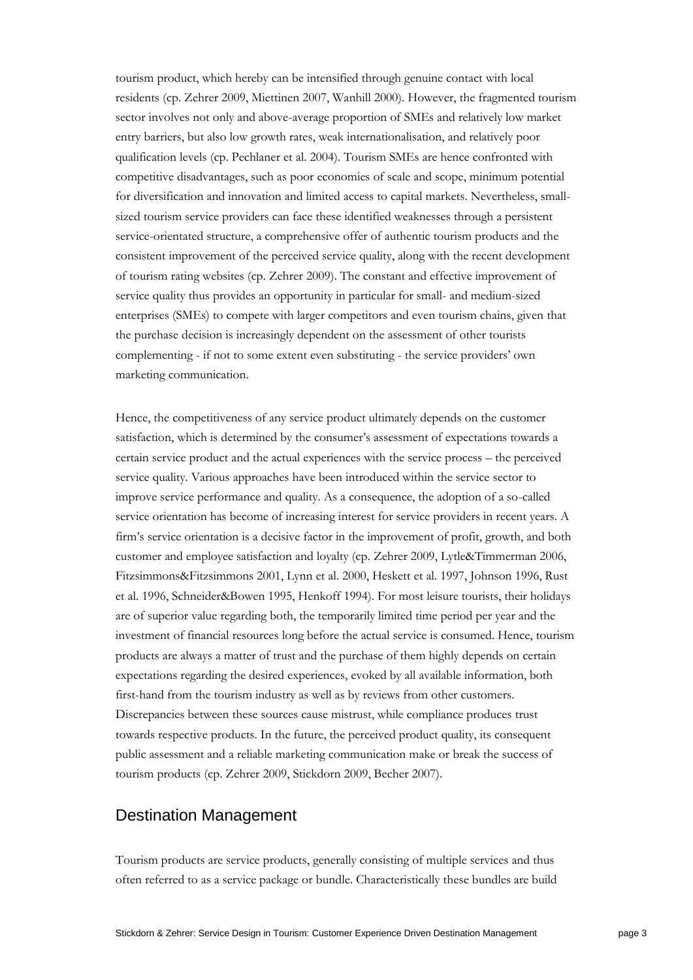tourism product, which hereby can be intensified through genuine contact with local residents (cp. Zehrer 2009, Miettinen 2007, Wanhill 2000). However, the fragmented tourism sector involves not only and above-average proportion of SMEs and relatively low market entry barriers, but also low growth rates, weak internationalisation, and relatively poor qualification levels (cp. Pechlaner et al. 2004). Tourism SMEs are hence confronted with competitive disadvantages, such as poor economies of scale and scope, minimum potential for diversification and innovation and limited access to capital markets. Nevertheless, smallsized tourism service providers can face these identified weaknesses through a persistent service-orientated structure, a comprehensive offer of authentic tourism products and the consistent improvement of the perceived service quality, along with the recent development of tourism rating websites (cp. Zehrer 2009). The constant and effective improvement of service quality thus provides an opportunity in particular for small- and medium-sized enterprises (SMEs) to compete with larger competitors and even tourism chains, given that the purchase decision is increasingly dependent on the assessment of other tourists complementing - if not to some extent even substituting - the service providers" own marketing communication.

Hence, the competitiveness of any service product ultimately depends on the customer satisfaction, which is determined by the consumer's assessment of expectations towards a certain service product and the actual experiences with the service process – the perceived service quality. Various approaches have been introduced within the service sector to improve service performance and quality. As a consequence, the adoption of a so-called service orientation has become of increasing interest for service providers in recent years. A firm"s service orientation is a decisive factor in the improvement of profit, growth, and both customer and employee satisfaction and loyalty (cp. Zehrer 2009, Lytle&Timmerman 2006, Fitzsimmons&Fitzsimmons 2001, Lynn et al. 2000, Heskett et al. 1997, Johnson 1996, Rust et al. 1996, Schneider&Bowen 1995, Henkoff 1994). For most leisure tourists, their holidays are of superior value regarding both, the temporarily limited time period per year and the investment of financial resources long before the actual service is consumed. Hence, tourism products are always a matter of trust and the purchase of them highly depends on certain expectations regarding the desired experiences, evoked by all available information, both first-hand from the tourism industry as well as by reviews from other customers. Discrepancies between these sources cause mistrust, while compliance produces trust towards respective products. In the future, the perceived product quality, its consequent public assessment and a reliable marketing communication make or break the success of tourism products (cp. Zehrer 2009, Stickdorn 2009, Becher 2007).

#### Destination Management

Tourism products are service products, generally consisting of multiple services and thus often referred to as a service package or bundle. Characteristically these bundles are build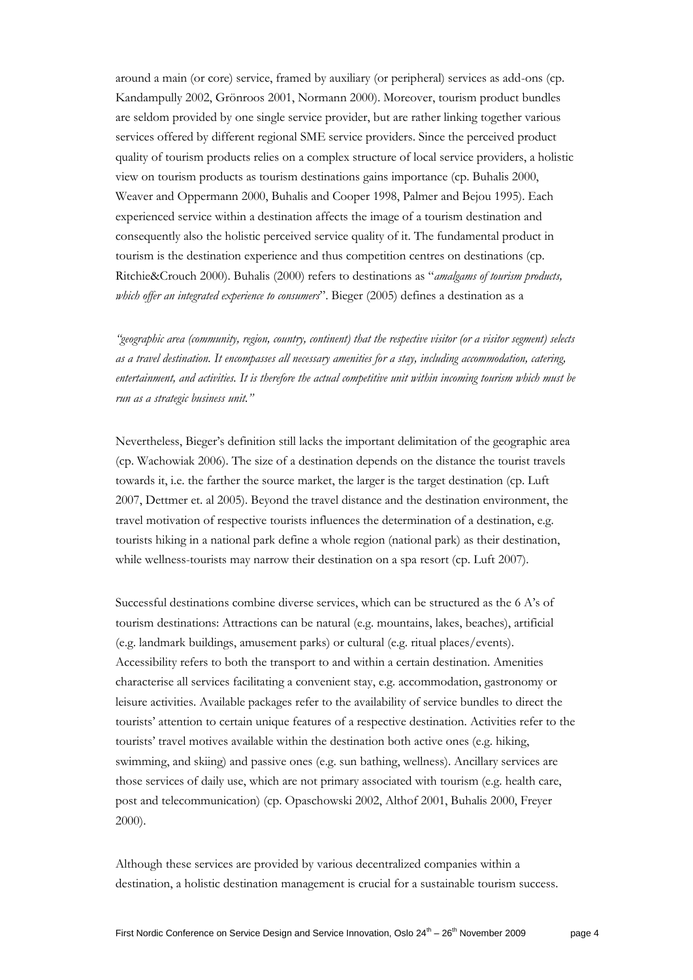around a main (or core) service, framed by auxiliary (or peripheral) services as add-ons (cp. Kandampully 2002, Grönroos 2001, Normann 2000). Moreover, tourism product bundles are seldom provided by one single service provider, but are rather linking together various services offered by different regional SME service providers. Since the perceived product quality of tourism products relies on a complex structure of local service providers, a holistic view on tourism products as tourism destinations gains importance (cp. Buhalis 2000, Weaver and Oppermann 2000, Buhalis and Cooper 1998, Palmer and Bejou 1995). Each experienced service within a destination affects the image of a tourism destination and consequently also the holistic perceived service quality of it. The fundamental product in tourism is the destination experience and thus competition centres on destinations (cp. Ritchie&Crouch 2000). Buhalis (2000) refers to destinations as "*amalgams of tourism products, which offer an integrated experience to consumers*". Bieger (2005) defines a destination as a

*"geographic area (community, region, country, continent) that the respective visitor (or a visitor segment) selects as a travel destination. It encompasses all necessary amenities for a stay, including accommodation, catering, entertainment, and activities. It is therefore the actual competitive unit within incoming tourism which must be run as a strategic business unit."*

Nevertheless, Bieger"s definition still lacks the important delimitation of the geographic area (cp. Wachowiak 2006). The size of a destination depends on the distance the tourist travels towards it, i.e. the farther the source market, the larger is the target destination (cp. Luft 2007, Dettmer et. al 2005). Beyond the travel distance and the destination environment, the travel motivation of respective tourists influences the determination of a destination, e.g. tourists hiking in a national park define a whole region (national park) as their destination, while wellness-tourists may narrow their destination on a spa resort (cp. Luft 2007).

Successful destinations combine diverse services, which can be structured as the 6 A"s of tourism destinations: Attractions can be natural (e.g. mountains, lakes, beaches), artificial (e.g. landmark buildings, amusement parks) or cultural (e.g. ritual places/events). Accessibility refers to both the transport to and within a certain destination. Amenities characterise all services facilitating a convenient stay, e.g. accommodation, gastronomy or leisure activities. Available packages refer to the availability of service bundles to direct the tourists" attention to certain unique features of a respective destination. Activities refer to the tourists" travel motives available within the destination both active ones (e.g. hiking, swimming, and skiing) and passive ones (e.g. sun bathing, wellness). Ancillary services are those services of daily use, which are not primary associated with tourism (e.g. health care, post and telecommunication) (cp. Opaschowski 2002, Althof 2001, Buhalis 2000, Freyer 2000).

Although these services are provided by various decentralized companies within a destination, a holistic destination management is crucial for a sustainable tourism success.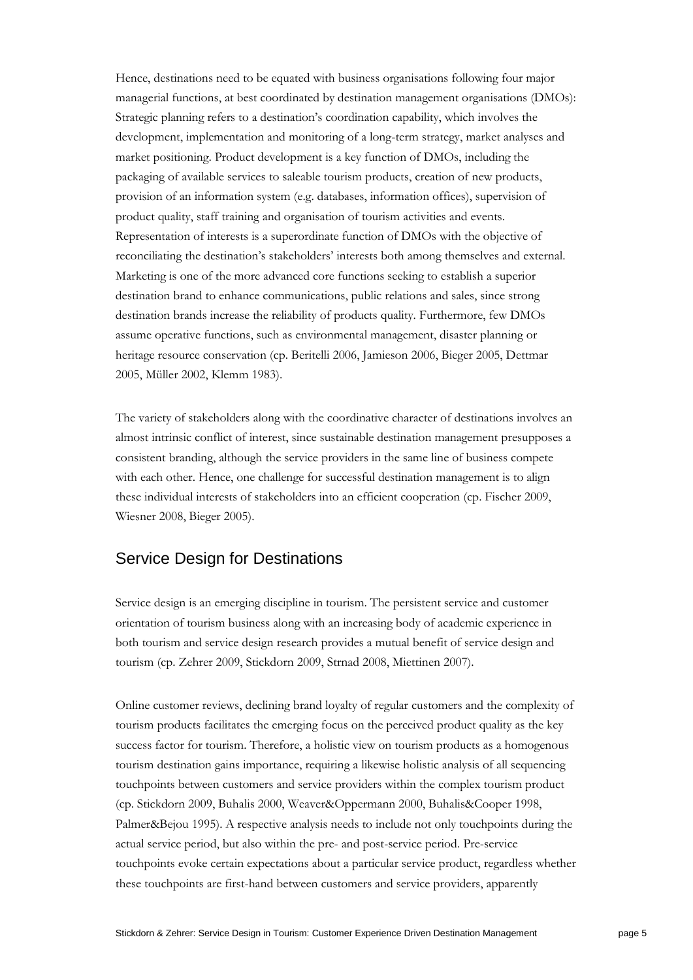Hence, destinations need to be equated with business organisations following four major managerial functions, at best coordinated by destination management organisations (DMOs): Strategic planning refers to a destination"s coordination capability, which involves the development, implementation and monitoring of a long-term strategy, market analyses and market positioning. Product development is a key function of DMOs, including the packaging of available services to saleable tourism products, creation of new products, provision of an information system (e.g. databases, information offices), supervision of product quality, staff training and organisation of tourism activities and events. Representation of interests is a superordinate function of DMOs with the objective of reconciliating the destination"s stakeholders" interests both among themselves and external. Marketing is one of the more advanced core functions seeking to establish a superior destination brand to enhance communications, public relations and sales, since strong destination brands increase the reliability of products quality. Furthermore, few DMOs assume operative functions, such as environmental management, disaster planning or heritage resource conservation (cp. Beritelli 2006, Jamieson 2006, Bieger 2005, Dettmar 2005, Müller 2002, Klemm 1983).

The variety of stakeholders along with the coordinative character of destinations involves an almost intrinsic conflict of interest, since sustainable destination management presupposes a consistent branding, although the service providers in the same line of business compete with each other. Hence, one challenge for successful destination management is to align these individual interests of stakeholders into an efficient cooperation (cp. Fischer 2009, Wiesner 2008, Bieger 2005).

#### Service Design for Destinations

Service design is an emerging discipline in tourism. The persistent service and customer orientation of tourism business along with an increasing body of academic experience in both tourism and service design research provides a mutual benefit of service design and tourism (cp. Zehrer 2009, Stickdorn 2009, Strnad 2008, Miettinen 2007).

Online customer reviews, declining brand loyalty of regular customers and the complexity of tourism products facilitates the emerging focus on the perceived product quality as the key success factor for tourism. Therefore, a holistic view on tourism products as a homogenous tourism destination gains importance, requiring a likewise holistic analysis of all sequencing touchpoints between customers and service providers within the complex tourism product (cp. Stickdorn 2009, Buhalis 2000, Weaver&Oppermann 2000, Buhalis&Cooper 1998, Palmer&Bejou 1995). A respective analysis needs to include not only touchpoints during the actual service period, but also within the pre- and post-service period. Pre-service touchpoints evoke certain expectations about a particular service product, regardless whether these touchpoints are first-hand between customers and service providers, apparently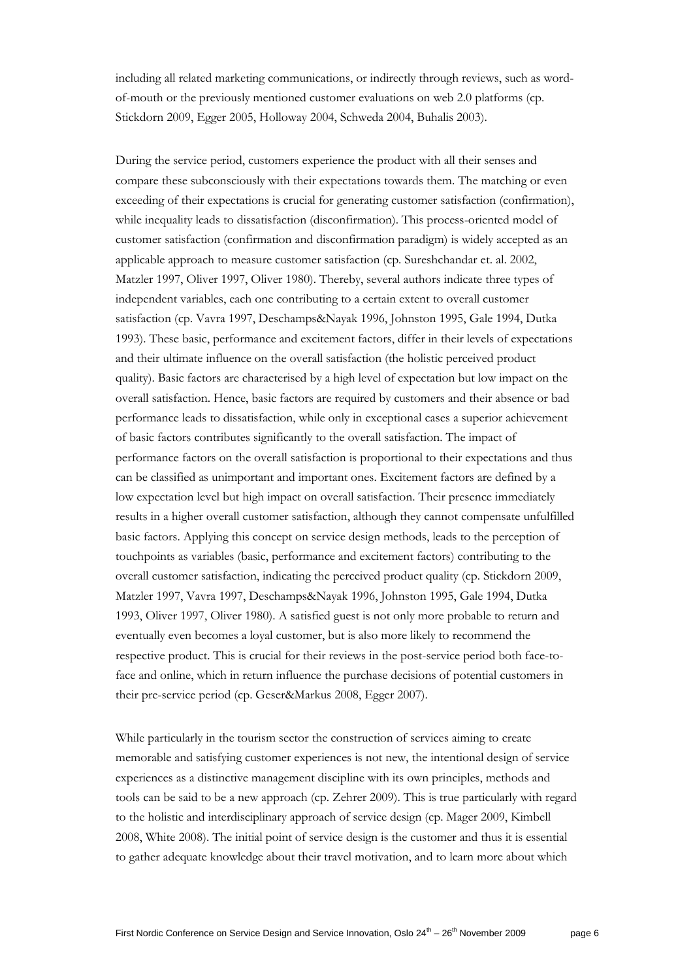including all related marketing communications, or indirectly through reviews, such as wordof-mouth or the previously mentioned customer evaluations on web 2.0 platforms (cp. Stickdorn 2009, Egger 2005, Holloway 2004, Schweda 2004, Buhalis 2003).

During the service period, customers experience the product with all their senses and compare these subconsciously with their expectations towards them. The matching or even exceeding of their expectations is crucial for generating customer satisfaction (confirmation), while inequality leads to dissatisfaction (disconfirmation). This process-oriented model of customer satisfaction (confirmation and disconfirmation paradigm) is widely accepted as an applicable approach to measure customer satisfaction (cp. Sureshchandar et. al. 2002, Matzler 1997, Oliver 1997, Oliver 1980). Thereby, several authors indicate three types of independent variables, each one contributing to a certain extent to overall customer satisfaction (cp. Vavra 1997, Deschamps&Nayak 1996, Johnston 1995, Gale 1994, Dutka 1993). These basic, performance and excitement factors, differ in their levels of expectations and their ultimate influence on the overall satisfaction (the holistic perceived product quality). Basic factors are characterised by a high level of expectation but low impact on the overall satisfaction. Hence, basic factors are required by customers and their absence or bad performance leads to dissatisfaction, while only in exceptional cases a superior achievement of basic factors contributes significantly to the overall satisfaction. The impact of performance factors on the overall satisfaction is proportional to their expectations and thus can be classified as unimportant and important ones. Excitement factors are defined by a low expectation level but high impact on overall satisfaction. Their presence immediately results in a higher overall customer satisfaction, although they cannot compensate unfulfilled basic factors. Applying this concept on service design methods, leads to the perception of touchpoints as variables (basic, performance and excitement factors) contributing to the overall customer satisfaction, indicating the perceived product quality (cp. Stickdorn 2009, Matzler 1997, Vavra 1997, Deschamps&Nayak 1996, Johnston 1995, Gale 1994, Dutka 1993, Oliver 1997, Oliver 1980). A satisfied guest is not only more probable to return and eventually even becomes a loyal customer, but is also more likely to recommend the respective product. This is crucial for their reviews in the post-service period both face-toface and online, which in return influence the purchase decisions of potential customers in their pre-service period (cp. Geser&Markus 2008, Egger 2007).

While particularly in the tourism sector the construction of services aiming to create memorable and satisfying customer experiences is not new, the intentional design of service experiences as a distinctive management discipline with its own principles, methods and tools can be said to be a new approach (cp. Zehrer 2009). This is true particularly with regard to the holistic and interdisciplinary approach of service design (cp. Mager 2009, Kimbell 2008, White 2008). The initial point of service design is the customer and thus it is essential to gather adequate knowledge about their travel motivation, and to learn more about which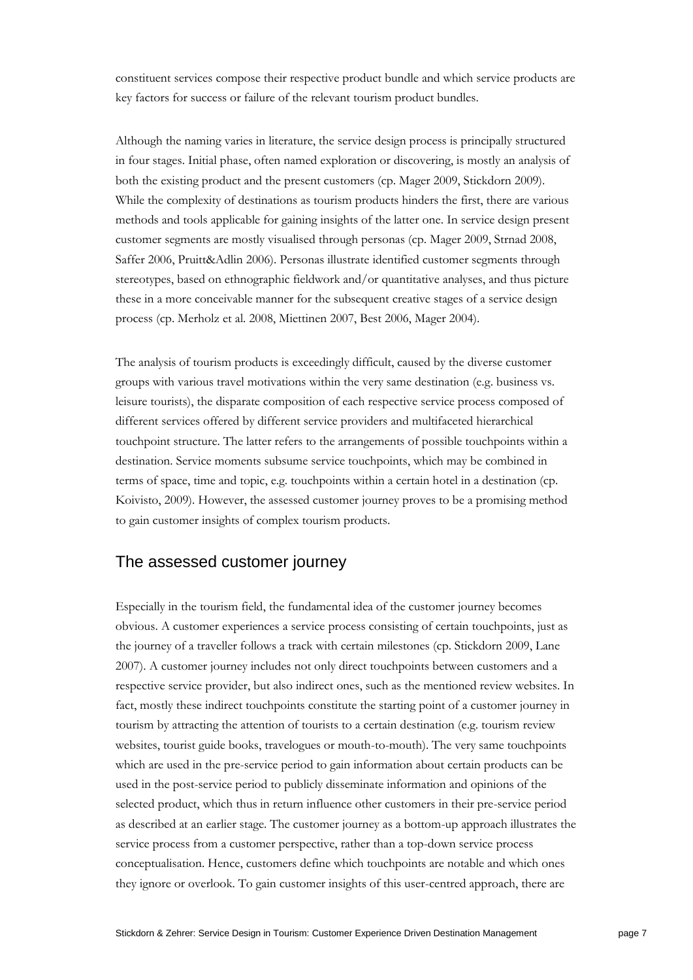constituent services compose their respective product bundle and which service products are key factors for success or failure of the relevant tourism product bundles.

Although the naming varies in literature, the service design process is principally structured in four stages. Initial phase, often named exploration or discovering, is mostly an analysis of both the existing product and the present customers (cp. Mager 2009, Stickdorn 2009). While the complexity of destinations as tourism products hinders the first, there are various methods and tools applicable for gaining insights of the latter one. In service design present customer segments are mostly visualised through personas (cp. Mager 2009, Strnad 2008, Saffer 2006, Pruitt&Adlin 2006). Personas illustrate identified customer segments through stereotypes, based on ethnographic fieldwork and/or quantitative analyses, and thus picture these in a more conceivable manner for the subsequent creative stages of a service design process (cp. Merholz et al. 2008, Miettinen 2007, Best 2006, Mager 2004).

The analysis of tourism products is exceedingly difficult, caused by the diverse customer groups with various travel motivations within the very same destination (e.g. business vs. leisure tourists), the disparate composition of each respective service process composed of different services offered by different service providers and multifaceted hierarchical touchpoint structure. The latter refers to the arrangements of possible touchpoints within a destination. Service moments subsume service touchpoints, which may be combined in terms of space, time and topic, e.g. touchpoints within a certain hotel in a destination (cp. Koivisto, 2009). However, the assessed customer journey proves to be a promising method to gain customer insights of complex tourism products.

### The assessed customer journey

Especially in the tourism field, the fundamental idea of the customer journey becomes obvious. A customer experiences a service process consisting of certain touchpoints, just as the journey of a traveller follows a track with certain milestones (cp. Stickdorn 2009, Lane 2007). A customer journey includes not only direct touchpoints between customers and a respective service provider, but also indirect ones, such as the mentioned review websites. In fact, mostly these indirect touchpoints constitute the starting point of a customer journey in tourism by attracting the attention of tourists to a certain destination (e.g. tourism review websites, tourist guide books, travelogues or mouth-to-mouth). The very same touchpoints which are used in the pre-service period to gain information about certain products can be used in the post-service period to publicly disseminate information and opinions of the selected product, which thus in return influence other customers in their pre-service period as described at an earlier stage. The customer journey as a bottom-up approach illustrates the service process from a customer perspective, rather than a top-down service process conceptualisation. Hence, customers define which touchpoints are notable and which ones they ignore or overlook. To gain customer insights of this user-centred approach, there are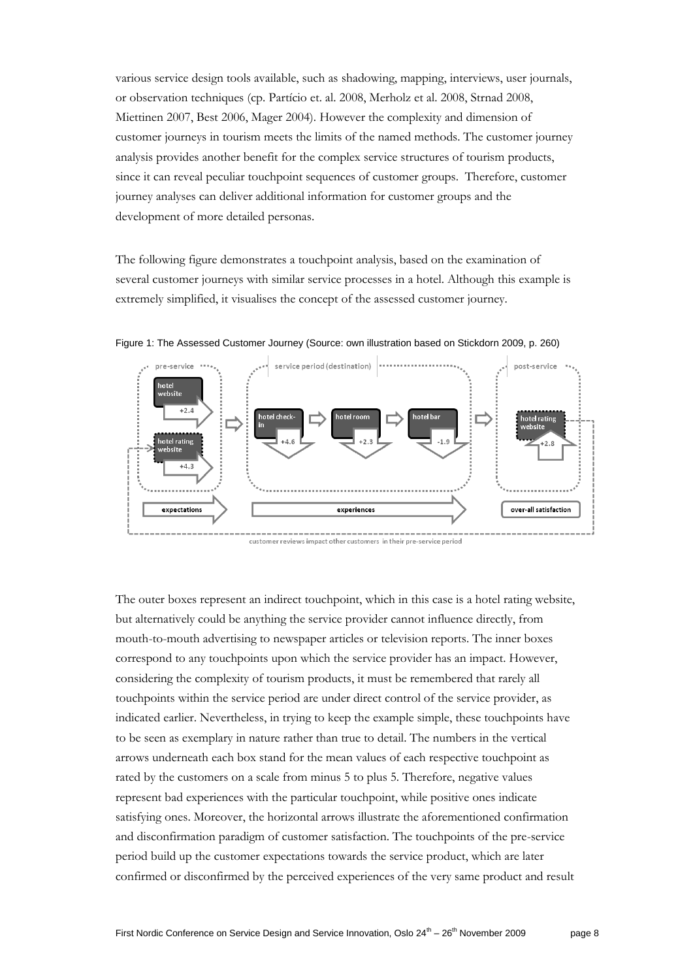various service design tools available, such as shadowing, mapping, interviews, user journals, or observation techniques (cp. Partício et. al. 2008, Merholz et al. 2008, Strnad 2008, Miettinen 2007, Best 2006, Mager 2004). However the complexity and dimension of customer journeys in tourism meets the limits of the named methods. The customer journey analysis provides another benefit for the complex service structures of tourism products, since it can reveal peculiar touchpoint sequences of customer groups. Therefore, customer journey analyses can deliver additional information for customer groups and the development of more detailed personas.

The following figure demonstrates a touchpoint analysis, based on the examination of several customer journeys with similar service processes in a hotel. Although this example is extremely simplified, it visualises the concept of the assessed customer journey.



Figure 1: The Assessed Customer Journey (Source: own illustration based on Stickdorn 2009, p. 260)

customer reviews impact other customers in their pre-service period

The outer boxes represent an indirect touchpoint, which in this case is a hotel rating website, but alternatively could be anything the service provider cannot influence directly, from mouth-to-mouth advertising to newspaper articles or television reports. The inner boxes correspond to any touchpoints upon which the service provider has an impact. However, considering the complexity of tourism products, it must be remembered that rarely all touchpoints within the service period are under direct control of the service provider, as indicated earlier. Nevertheless, in trying to keep the example simple, these touchpoints have to be seen as exemplary in nature rather than true to detail. The numbers in the vertical arrows underneath each box stand for the mean values of each respective touchpoint as rated by the customers on a scale from minus 5 to plus 5. Therefore, negative values represent bad experiences with the particular touchpoint, while positive ones indicate satisfying ones. Moreover, the horizontal arrows illustrate the aforementioned confirmation and disconfirmation paradigm of customer satisfaction. The touchpoints of the pre-service period build up the customer expectations towards the service product, which are later confirmed or disconfirmed by the perceived experiences of the very same product and result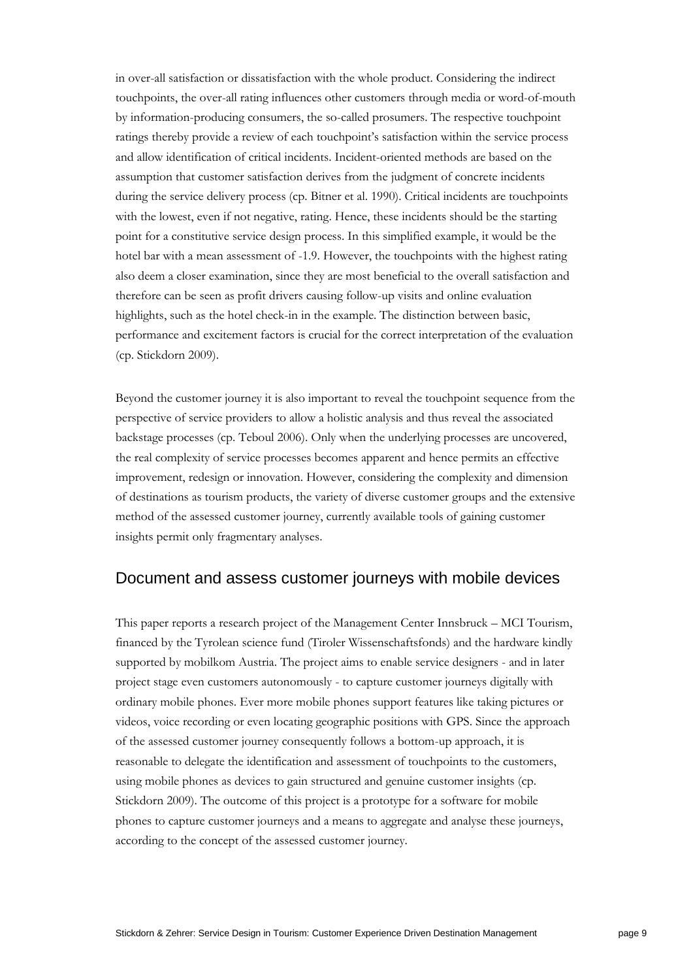in over-all satisfaction or dissatisfaction with the whole product. Considering the indirect touchpoints, the over-all rating influences other customers through media or word-of-mouth by information-producing consumers, the so-called prosumers. The respective touchpoint ratings thereby provide a review of each touchpoint"s satisfaction within the service process and allow identification of critical incidents. Incident-oriented methods are based on the assumption that customer satisfaction derives from the judgment of concrete incidents during the service delivery process (cp. Bitner et al. 1990). Critical incidents are touchpoints with the lowest, even if not negative, rating. Hence, these incidents should be the starting point for a constitutive service design process. In this simplified example, it would be the hotel bar with a mean assessment of -1.9. However, the touchpoints with the highest rating also deem a closer examination, since they are most beneficial to the overall satisfaction and therefore can be seen as profit drivers causing follow-up visits and online evaluation highlights, such as the hotel check-in in the example. The distinction between basic, performance and excitement factors is crucial for the correct interpretation of the evaluation (cp. Stickdorn 2009).

Beyond the customer journey it is also important to reveal the touchpoint sequence from the perspective of service providers to allow a holistic analysis and thus reveal the associated backstage processes (cp. Teboul 2006). Only when the underlying processes are uncovered, the real complexity of service processes becomes apparent and hence permits an effective improvement, redesign or innovation. However, considering the complexity and dimension of destinations as tourism products, the variety of diverse customer groups and the extensive method of the assessed customer journey, currently available tools of gaining customer insights permit only fragmentary analyses.

#### Document and assess customer journeys with mobile devices

This paper reports a research project of the Management Center Innsbruck – MCI Tourism, financed by the Tyrolean science fund (Tiroler Wissenschaftsfonds) and the hardware kindly supported by mobilkom Austria. The project aims to enable service designers - and in later project stage even customers autonomously - to capture customer journeys digitally with ordinary mobile phones. Ever more mobile phones support features like taking pictures or videos, voice recording or even locating geographic positions with GPS. Since the approach of the assessed customer journey consequently follows a bottom-up approach, it is reasonable to delegate the identification and assessment of touchpoints to the customers, using mobile phones as devices to gain structured and genuine customer insights (cp. Stickdorn 2009). The outcome of this project is a prototype for a software for mobile phones to capture customer journeys and a means to aggregate and analyse these journeys, according to the concept of the assessed customer journey.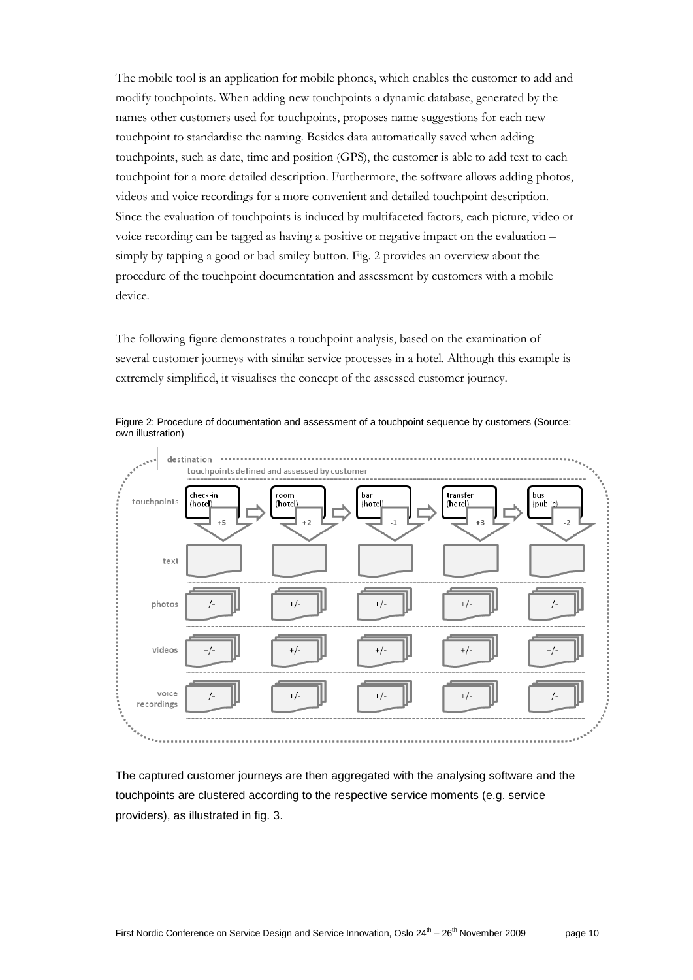The mobile tool is an application for mobile phones, which enables the customer to add and modify touchpoints. When adding new touchpoints a dynamic database, generated by the names other customers used for touchpoints, proposes name suggestions for each new touchpoint to standardise the naming. Besides data automatically saved when adding touchpoints, such as date, time and position (GPS), the customer is able to add text to each touchpoint for a more detailed description. Furthermore, the software allows adding photos, videos and voice recordings for a more convenient and detailed touchpoint description. Since the evaluation of touchpoints is induced by multifaceted factors, each picture, video or voice recording can be tagged as having a positive or negative impact on the evaluation – simply by tapping a good or bad smiley button. Fig. 2 provides an overview about the procedure of the touchpoint documentation and assessment by customers with a mobile device.

The following figure demonstrates a touchpoint analysis, based on the examination of several customer journeys with similar service processes in a hotel. Although this example is extremely simplified, it visualises the concept of the assessed customer journey.



Figure 2: Procedure of documentation and assessment of a touchpoint sequence by customers (Source: own illustration)

The captured customer journeys are then aggregated with the analysing software and the touchpoints are clustered according to the respective service moments (e.g. service providers), as illustrated in fig. 3.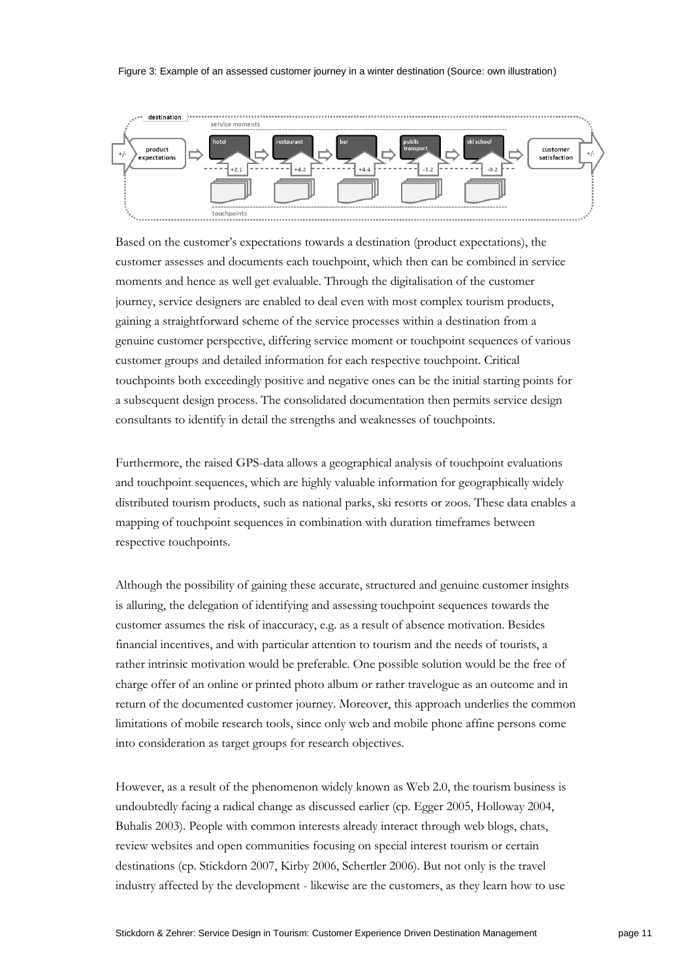#### Figure 3: Example of an assessed customer journey in a winter destination (Source: own illustration)



Based on the customer"s expectations towards a destination (product expectations), the customer assesses and documents each touchpoint, which then can be combined in service moments and hence as well get evaluable. Through the digitalisation of the customer journey, service designers are enabled to deal even with most complex tourism products, gaining a straightforward scheme of the service processes within a destination from a genuine customer perspective, differing service moment or touchpoint sequences of various customer groups and detailed information for each respective touchpoint. Critical touchpoints both exceedingly positive and negative ones can be the initial starting points for a subsequent design process. The consolidated documentation then permits service design consultants to identify in detail the strengths and weaknesses of touchpoints.

Furthermore, the raised GPS-data allows a geographical analysis of touchpoint evaluations and touchpoint sequences, which are highly valuable information for geographically widely distributed tourism products, such as national parks, ski resorts or zoos. These data enables a mapping of touchpoint sequences in combination with duration timeframes between respective touchpoints.

Although the possibility of gaining these accurate, structured and genuine customer insights is alluring, the delegation of identifying and assessing touchpoint sequences towards the customer assumes the risk of inaccuracy, e.g. as a result of absence motivation. Besides financial incentives, and with particular attention to tourism and the needs of tourists, a rather intrinsic motivation would be preferable. One possible solution would be the free of charge offer of an online or printed photo album or rather travelogue as an outcome and in return of the documented customer journey. Moreover, this approach underlies the common limitations of mobile research tools, since only web and mobile phone affine persons come into consideration as target groups for research objectives.

However, as a result of the phenomenon widely known as Web 2.0, the tourism business is undoubtedly facing a radical change as discussed earlier (cp. Egger 2005, Holloway 2004, Buhalis 2003). People with common interests already interact through web blogs, chats, review websites and open communities focusing on special interest tourism or certain destinations (cp. Stickdorn 2007, Kirby 2006, Schertler 2006). But not only is the travel industry affected by the development - likewise are the customers, as they learn how to use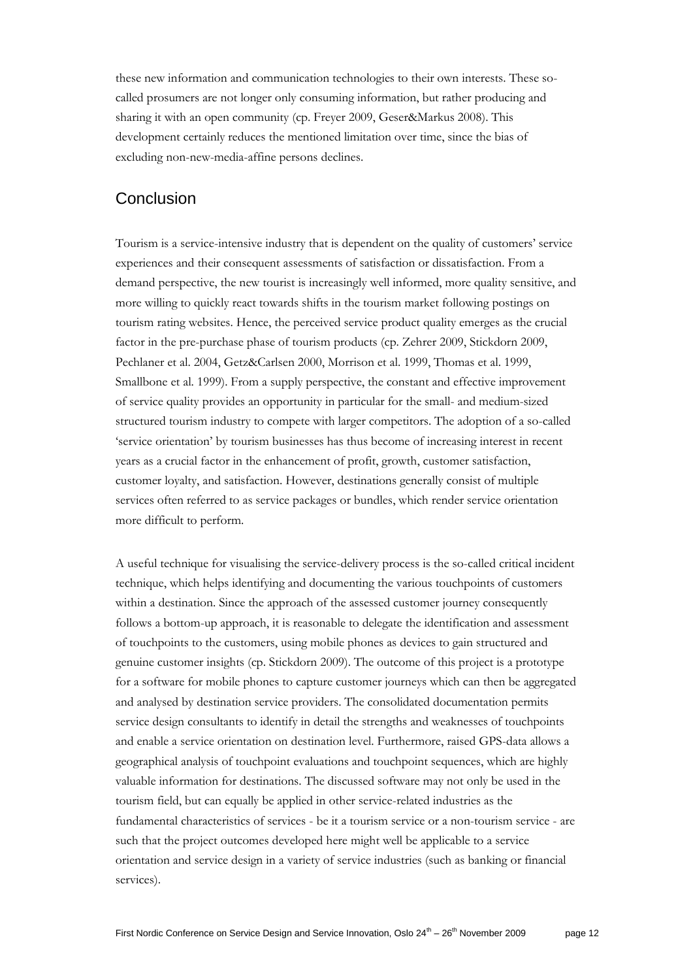these new information and communication technologies to their own interests. These socalled prosumers are not longer only consuming information, but rather producing and sharing it with an open community (cp. Freyer 2009, Geser&Markus 2008). This development certainly reduces the mentioned limitation over time, since the bias of excluding non-new-media-affine persons declines.

## Conclusion

Tourism is a service-intensive industry that is dependent on the quality of customers" service experiences and their consequent assessments of satisfaction or dissatisfaction. From a demand perspective, the new tourist is increasingly well informed, more quality sensitive, and more willing to quickly react towards shifts in the tourism market following postings on tourism rating websites. Hence, the perceived service product quality emerges as the crucial factor in the pre-purchase phase of tourism products (cp. Zehrer 2009, Stickdorn 2009, Pechlaner et al. 2004, Getz&Carlsen 2000, Morrison et al. 1999, Thomas et al. 1999, Smallbone et al. 1999). From a supply perspective, the constant and effective improvement of service quality provides an opportunity in particular for the small- and medium-sized structured tourism industry to compete with larger competitors. The adoption of a so-called "service orientation" by tourism businesses has thus become of increasing interest in recent years as a crucial factor in the enhancement of profit, growth, customer satisfaction, customer loyalty, and satisfaction. However, destinations generally consist of multiple services often referred to as service packages or bundles, which render service orientation more difficult to perform.

A useful technique for visualising the service-delivery process is the so-called critical incident technique, which helps identifying and documenting the various touchpoints of customers within a destination. Since the approach of the assessed customer journey consequently follows a bottom-up approach, it is reasonable to delegate the identification and assessment of touchpoints to the customers, using mobile phones as devices to gain structured and genuine customer insights (cp. Stickdorn 2009). The outcome of this project is a prototype for a software for mobile phones to capture customer journeys which can then be aggregated and analysed by destination service providers. The consolidated documentation permits service design consultants to identify in detail the strengths and weaknesses of touchpoints and enable a service orientation on destination level. Furthermore, raised GPS-data allows a geographical analysis of touchpoint evaluations and touchpoint sequences, which are highly valuable information for destinations. The discussed software may not only be used in the tourism field, but can equally be applied in other service-related industries as the fundamental characteristics of services - be it a tourism service or a non-tourism service - are such that the project outcomes developed here might well be applicable to a service orientation and service design in a variety of service industries (such as banking or financial services).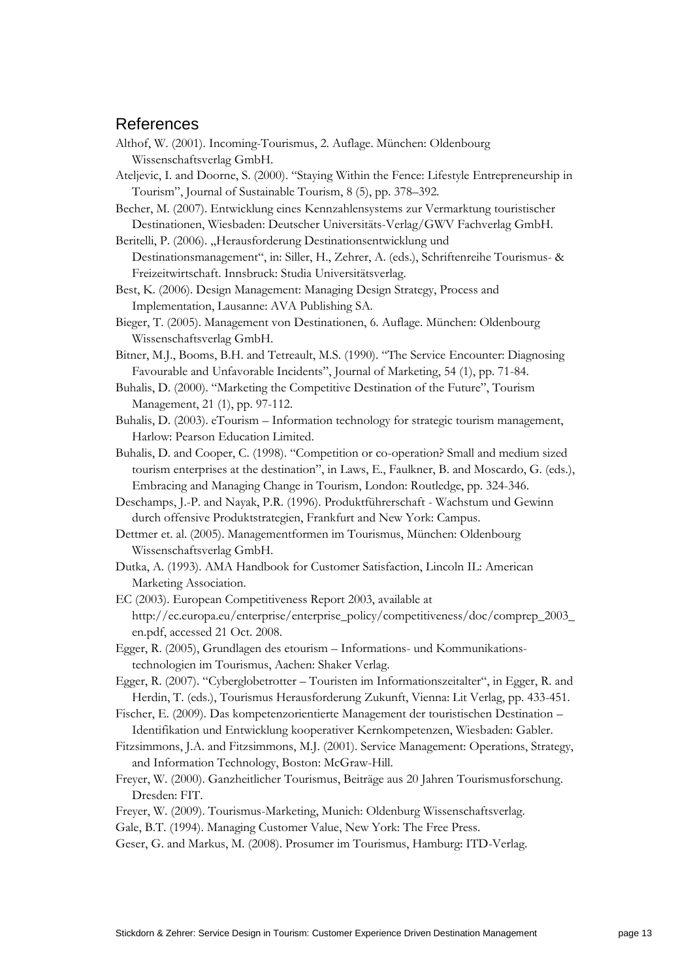### References

- Althof, W. (2001). Incoming-Tourismus, 2. Auflage. München: Oldenbourg Wissenschaftsverlag GmbH.
- Ateljevic, I. and Doorne, S. (2000). "Staying Within the Fence: Lifestyle Entrepreneurship in Tourism", Journal of Sustainable Tourism, 8 (5), pp. 378–392.
- Becher, M. (2007). Entwicklung eines Kennzahlensystems zur Vermarktung touristischer Destinationen, Wiesbaden: Deutscher Universitäts-Verlag/GWV Fachverlag GmbH.
- Beritelli, P. (2006). "Herausforderung Destinationsentwicklung und Destinationsmanagement", in: Siller, H., Zehrer, A. (eds.), Schriftenreihe Tourismus- & Freizeitwirtschaft. Innsbruck: Studia Universitätsverlag.
- Best, K. (2006). Design Management: Managing Design Strategy, Process and Implementation, Lausanne: AVA Publishing SA.
- Bieger, T. (2005). Management von Destinationen, 6. Auflage. München: Oldenbourg Wissenschaftsverlag GmbH.
- Bitner, M.J., Booms, B.H. and Tetreault, M.S. (1990). "The Service Encounter: Diagnosing Favourable and Unfavorable Incidents", Journal of Marketing, 54 (1), pp. 71-84.
- Buhalis, D. (2000). "Marketing the Competitive Destination of the Future", Tourism Management, 21 (1), pp. 97-112.
- Buhalis, D. (2003). eTourism Information technology for strategic tourism management, Harlow: Pearson Education Limited.
- Buhalis, D. and Cooper, C. (1998). "Competition or co-operation? Small and medium sized tourism enterprises at the destination", in Laws, E., Faulkner, B. and Moscardo, G. (eds.), Embracing and Managing Change in Tourism, London: Routledge, pp. 324-346.
- Deschamps, J.-P. and Nayak, P.R. (1996). Produktführerschaft Wachstum und Gewinn durch offensive Produktstrategien, Frankfurt and New York: Campus.
- Dettmer et. al. (2005). Managementformen im Tourismus, München: Oldenbourg Wissenschaftsverlag GmbH.
- Dutka, A. (1993). AMA Handbook for Customer Satisfaction, Lincoln IL: American Marketing Association.
- EC (2003). European Competitiveness Report 2003, available at http://ec.europa.eu/enterprise/enterprise\_policy/competitiveness/doc/comprep\_2003\_ en.pdf, accessed 21 Oct. 2008.
- Egger, R. (2005), Grundlagen des etourism Informations- und Kommunikationstechnologien im Tourismus, Aachen: Shaker Verlag.
- Egger, R. (2007). "Cyberglobetrotter Touristen im Informationszeitalter", in Egger, R. and Herdin, T. (eds.), Tourismus Herausforderung Zukunft, Vienna: Lit Verlag, pp. 433-451.
- Fischer, E. (2009). Das kompetenzorientierte Management der touristischen Destination Identifikation und Entwicklung kooperativer Kernkompetenzen, Wiesbaden: Gabler.
- Fitzsimmons, J.A. and Fitzsimmons, M.J. (2001). Service Management: Operations, Strategy, and Information Technology, Boston: McGraw-Hill.
- Freyer, W. (2000). Ganzheitlicher Tourismus, Beiträge aus 20 Jahren Tourismusforschung. Dresden: FIT.
- Freyer, W. (2009). Tourismus-Marketing, Munich: Oldenburg Wissenschaftsverlag.
- Gale, B.T. (1994). Managing Customer Value, New York: The Free Press.
- Geser, G. and Markus, M. (2008). Prosumer im Tourismus, Hamburg: ITD-Verlag.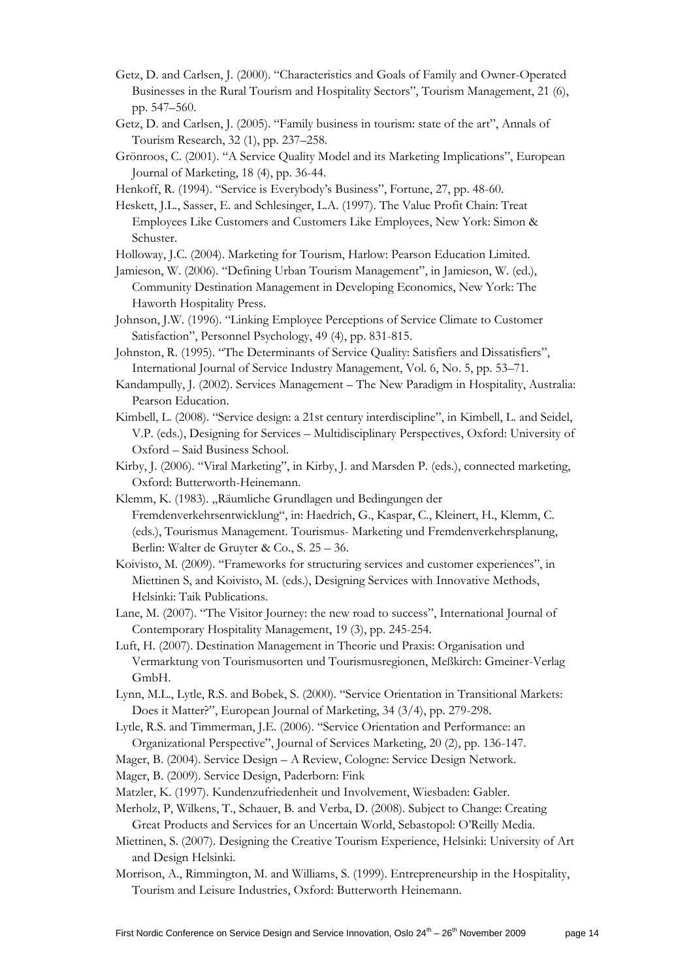- Getz, D. and Carlsen, J. (2000). "Characteristics and Goals of Family and Owner-Operated Businesses in the Rural Tourism and Hospitality Sectors", Tourism Management, 21 (6), pp. 547–560.
- Getz, D. and Carlsen, J. (2005). "Family business in tourism: state of the art", Annals of Tourism Research, 32 (1), pp. 237–258.
- Grönroos, C. (2001). "A Service Quality Model and its Marketing Implications", European Journal of Marketing, 18 (4), pp. 36-44.
- Henkoff, R. (1994). "Service is Everybody"s Business", Fortune, 27, pp. 48-60.

Heskett, J.L., Sasser, E. and Schlesinger, L.A. (1997). The Value Profit Chain: Treat Employees Like Customers and Customers Like Employees, New York: Simon & Schuster.

Holloway, J.C. (2004). Marketing for Tourism, Harlow: Pearson Education Limited.

Jamieson, W. (2006). "Defining Urban Tourism Management", in Jamieson, W. (ed.), Community Destination Management in Developing Economics, New York: The Haworth Hospitality Press.

Johnson, J.W. (1996). "Linking Employee Perceptions of Service Climate to Customer Satisfaction", Personnel Psychology, 49 (4), pp. 831-815.

Johnston, R. (1995). "The Determinants of Service Quality: Satisfiers and Dissatisfiers", International Journal of Service Industry Management, Vol. 6, No. 5, pp. 53–71.

Kandampully, J. (2002). Services Management – The New Paradigm in Hospitality, Australia: Pearson Education.

Kimbell, L. (2008). "Service design: a 21st century interdiscipline", in Kimbell, L. and Seidel, V.P. (eds.), Designing for Services – Multidisciplinary Perspectives, Oxford: University of Oxford – Said Business School.

Kirby, J. (2006). "Viral Marketing", in Kirby, J. and Marsden P. (eds.), connected marketing, Oxford: Butterworth-Heinemann.

Klemm, K. (1983). "Räumliche Grundlagen und Bedingungen der Fremdenverkehrsentwicklung", in: Haedrich, G., Kaspar, C., Kleinert, H., Klemm, C. (eds.), Tourismus Management. Tourismus- Marketing und Fremdenverkehrsplanung, Berlin: Walter de Gruyter & Co., S. 25 – 36.

Koivisto, M. (2009). "Frameworks for structuring services and customer experiences", in Miettinen S, and Koivisto, M. (eds.), Designing Services with Innovative Methods, Helsinki: Taik Publications.

Lane, M. (2007). "The Visitor Journey: the new road to success", International Journal of Contemporary Hospitality Management, 19 (3), pp. 245-254.

Luft, H. (2007). Destination Management in Theorie und Praxis: Organisation und Vermarktung von Tourismusorten und Tourismusregionen, Meßkirch: Gmeiner-Verlag GmbH.

- Lynn, M.L., Lytle, R.S. and Bobek, S. (2000). "Service Orientation in Transitional Markets: Does it Matter?", European Journal of Marketing, 34 (3/4), pp. 279-298.
- Lytle, R.S. and Timmerman, J.E. (2006). "Service Orientation and Performance: an Organizational Perspective", Journal of Services Marketing, 20 (2), pp. 136-147.
- Mager, B. (2004). Service Design A Review, Cologne: Service Design Network.

Mager, B. (2009). Service Design, Paderborn: Fink

Matzler, K. (1997). Kundenzufriedenheit und Involvement, Wiesbaden: Gabler.

- Merholz, P, Wilkens, T., Schauer, B. and Verba, D. (2008). Subject to Change: Creating Great Products and Services for an Uncertain World, Sebastopol: O"Reilly Media.
- Miettinen, S. (2007). Designing the Creative Tourism Experience, Helsinki: University of Art and Design Helsinki.

Morrison, A., Rimmington, M. and Williams, S. (1999). Entrepreneurship in the Hospitality, Tourism and Leisure Industries, Oxford: Butterworth Heinemann.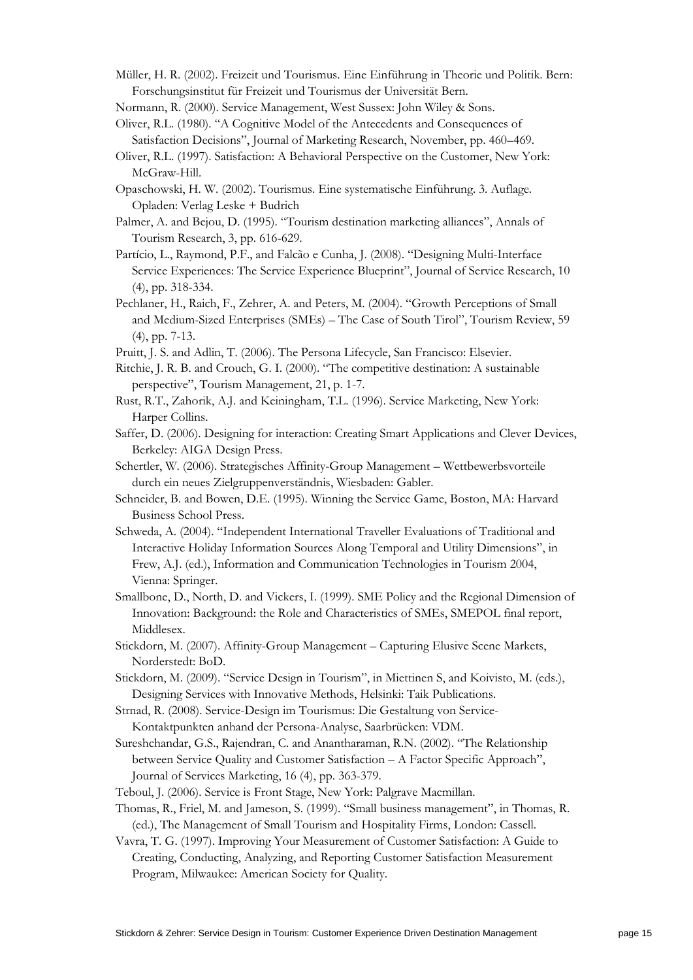Müller, H. R. (2002). Freizeit und Tourismus. Eine Einführung in Theorie und Politik. Bern: Forschungsinstitut für Freizeit und Tourismus der Universität Bern.

Normann, R. (2000). Service Management, West Sussex: John Wiley & Sons.

Oliver, R.L. (1980). "A Cognitive Model of the Antecedents and Consequences of Satisfaction Decisions", Journal of Marketing Research, November, pp. 460–469.

- Oliver, R.L. (1997). Satisfaction: A Behavioral Perspective on the Customer, New York: McGraw-Hill.
- Opaschowski, H. W. (2002). Tourismus. Eine systematische Einführung. 3. Auflage. Opladen: Verlag Leske + Budrich
- Palmer, A. and Bejou, D. (1995). "Tourism destination marketing alliances", Annals of Tourism Research, 3, pp. 616-629.
- Partício, L., Raymond, P.F., and Falcão e Cunha, J. (2008). "Designing Multi-Interface Service Experiences: The Service Experience Blueprint", Journal of Service Research, 10 (4), pp. 318-334.
- Pechlaner, H., Raich, F., Zehrer, A. and Peters, M. (2004). "Growth Perceptions of Small and Medium-Sized Enterprises (SMEs) – The Case of South Tirol", Tourism Review, 59 (4), pp. 7-13.
- Pruitt, J. S. and Adlin, T. (2006). The Persona Lifecycle, San Francisco: Elsevier.
- Ritchie, J. R. B. and Crouch, G. I. (2000). "The competitive destination: A sustainable perspective", Tourism Management, 21, p. 1-7.
- Rust, R.T., Zahorik, A.J. and Keiningham, T.L. (1996). Service Marketing, New York: Harper Collins.
- Saffer, D. (2006). Designing for interaction: Creating Smart Applications and Clever Devices, Berkeley: AIGA Design Press.
- Schertler, W. (2006). Strategisches Affinity-Group Management Wettbewerbsvorteile durch ein neues Zielgruppenverständnis, Wiesbaden: Gabler.
- Schneider, B. and Bowen, D.E. (1995). Winning the Service Game, Boston, MA: Harvard Business School Press.
- Schweda, A. (2004). "Independent International Traveller Evaluations of Traditional and Interactive Holiday Information Sources Along Temporal and Utility Dimensions", in Frew, A.J. (ed.), Information and Communication Technologies in Tourism 2004, Vienna: Springer.
- Smallbone, D., North, D. and Vickers, I. (1999). SME Policy and the Regional Dimension of Innovation: Background: the Role and Characteristics of SMEs, SMEPOL final report, Middlesex.
- Stickdorn, M. (2007). Affinity-Group Management Capturing Elusive Scene Markets, Norderstedt: BoD.
- Stickdorn, M. (2009). "Service Design in Tourism", in Miettinen S, and Koivisto, M. (eds.), Designing Services with Innovative Methods, Helsinki: Taik Publications.
- Strnad, R. (2008). Service-Design im Tourismus: Die Gestaltung von Service-Kontaktpunkten anhand der Persona-Analyse, Saarbrücken: VDM.
- Sureshchandar, G.S., Rajendran, C. and Anantharaman, R.N. (2002). "The Relationship between Service Quality and Customer Satisfaction – A Factor Specific Approach", Journal of Services Marketing, 16 (4), pp. 363-379.
- Teboul, J. (2006). Service is Front Stage, New York: Palgrave Macmillan.
- Thomas, R., Friel, M. and Jameson, S. (1999). "Small business management", in Thomas, R. (ed.), The Management of Small Tourism and Hospitality Firms, London: Cassell.
- Vavra, T. G. (1997). Improving Your Measurement of Customer Satisfaction: A Guide to Creating, Conducting, Analyzing, and Reporting Customer Satisfaction Measurement Program, Milwaukee: American Society for Quality.